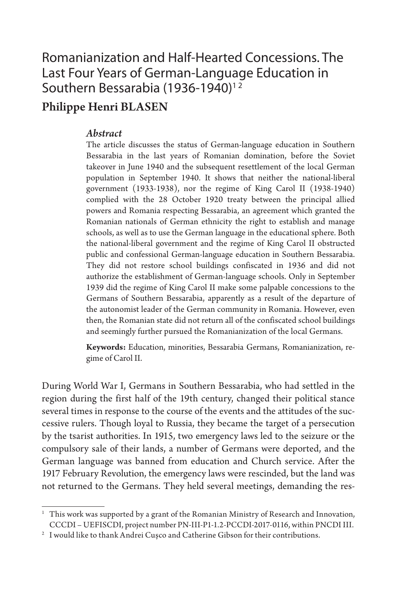## Romanianization and Half-Hearted Concessions. The Last Four Years of German-Language Education in Southern Bessarabia (1936-1940)<sup>12</sup>

### Philippe Henri BLASEN

### *Abstract*

The article discusses the status of German-language education in Southern Bessarabia in the last years of Romanian domination, before the Soviet takeover in June 1940 and the subsequent resettlement of the local German population in September 1940. It shows that neither the national-liberal government (1933-1938), nor the regime of King Carol II (1938-1940) complied with the 28 October 1920 treaty between the principal allied powers and Romania respecting Bessarabia, an agreement which granted the Romanian nationals of German ethnicity the right to establish and manage schools, as well as to use the German language in the educational sphere. Both the national-liberal government and the regime of King Carol II obstructed public and confessional German-language education in Southern Bessarabia. They did not restore school buildings confiscated in 1936 and did not authorize the establishment of German-language schools. Only in September 1939 did the regime of King Carol II make some palpable concessions to the Germans of Southern Bessarabia, apparently as a result of the departure of the autonomist leader of the German community in Romania. However, even then, the Romanian state did not return all of the confiscated school buildings and seemingly further pursued the Romanianization of the local Germans.

**Keywords:** Education, minorities, Bessarabia Germans, Romanianization, regime of Carol II.

During World War I, Germans in Southern Bessarabia, who had settled in the region during the first half of the 19th century, changed their political stance several times in response to the course of the events and the attitudes of the successive rulers. Though loyal to Russia, they became the target of a persecution by the tsarist authorities. In 1915, two emergency laws led to the seizure or the compulsory sale of their lands, a number of Germans were deported, and the German language was banned from education and Church service. After the 1917 February Revolution, the emergency laws were rescinded, but the land was not returned to the Germans. They held several meetings, demanding the res-

<sup>&</sup>lt;sup>1</sup> This work was supported by a grant of the Romanian Ministry of Research and Innovation, CCCDI – UEFISCDI, project number PN-III-P1-1.2-PCCDI-2017-0116, within PNCDI III.

 $^2$  I would like to thank Andrei Cușco and Catherine Gibson for their contributions.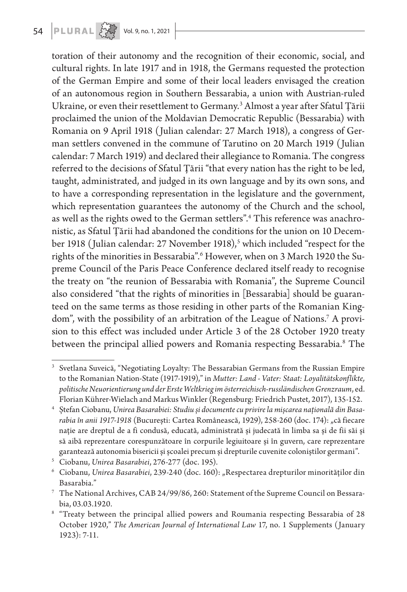# 54 **PLURAL**  $\left\{\begin{matrix} 1 & 0 \\ 0 & 0 \end{matrix}\right\}$  vol. 9, no. 1, 2021

toration of their autonomy and the recognition of their economic, social, and cultural rights. In late 1917 and in 1918, the Germans requested the protection of the German Empire and some of their local leaders envisaged the creation of an autonomous region in Southern Bessarabia, a union with Austrian-ruled Ukraine, or even their resettlement to Germany.3 Almost a year after Sfatul Țării proclaimed the union of the Moldavian Democratic Republic (Bessarabia) with Romania on 9 April 1918 (Julian calendar: 27 March 1918), a congress of German settlers convened in the commune of Tarutino on 20 March 1919 (Julian calendar: 7 March 1919) and declared their allegiance to Romania. The congress referred to the decisions of Sfatul Țării "that every nation has the right to be led, taught, administrated, and judged in its own language and by its own sons, and to have a corresponding representation in the legislature and the government, which representation guarantees the autonomy of the Church and the school, as well as the rights owed to the German settlers".4 This reference was anachronistic, as Sfatul Țării had abandoned the conditions for the union on 10 December 1918 (Julian calendar: 27 November 1918),<sup>5</sup> which included "respect for the rights of the minorities in Bessarabia".6 However, when on 3 March 1920 the Supreme Council of the Paris Peace Conference declared itself ready to recognise the treaty on "the reunion of Bessarabia with Romania", the Supreme Council also considered "that the rights of minorities in [Bessarabia] should be guaranteed on the same terms as those residing in other parts of the Romanian Kingdom", with the possibility of an arbitration of the League of Nations.7 A provision to this effect was included under Article 3 of the 28 October 1920 treaty between the principal allied powers and Romania respecting Bessarabia.<sup>8</sup> The

<sup>&</sup>lt;sup>3</sup> Svetlana Suveică, "Negotiating Loyalty: The Bessarabian Germans from the Russian Empire to the Romanian Nation-State (1917-1919)," in *Mutter: Land - Vater: Staat: Loyalitätskonflikte, politische Neuorientierung und der Erste Weltkrieg im österreichisch-russländischen Grenzraum*, ed. Florian Kührer-Wielach and Markus Winkler (Regensburg: Friedrich Pustet, 2017), 135-152.

<sup>4</sup> Ștefan Ciobanu, *Unirea Basarabiei: Studiu și documente cu privire la mișcarea națională din Basarabia în anii 1917-1918* (București: Cartea Românească, 1929), 258-260 (doc. 174): "că fiecare nație are dreptul de a fi condusă, educată, administrată și judecată în limba sa și de fii săi și să aibă reprezentare corespunzătoare în corpurile legiuitoare și în guvern, care reprezentare garantează autonomia bisericii și școalei precum și drepturile cuvenite coloniștilor germani".

<sup>5</sup> Ciobanu, *Unirea Basarabiei*, 276-277 (doc. 195).

<sup>6</sup> Ciobanu, *Unirea Basarabiei*, 239-240 (doc. 160): "Respectarea drepturilor minorităților din Basarabia."

<sup>7</sup> The National Archives, CAB 24/99/86, 260: Statement of the Supreme Council on Bessarabia, 03.03.1920.

<sup>8</sup> "Treaty between the principal allied powers and Roumania respecting Bessarabia of 28 October 1920," *The American Journal of International Law* 17, no. 1 Supplements (January 1923): 7-11.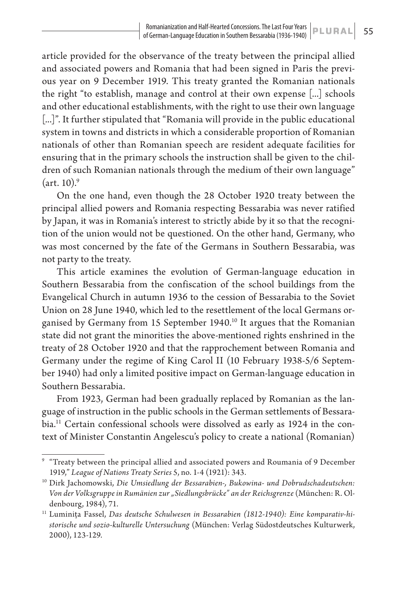article provided for the observance of the treaty between the principal allied and associated powers and Romania that had been signed in Paris the previous year on 9 December 1919. This treaty granted the Romanian nationals the right "to establish, manage and control at their own expense [...] schools and other educational establishments, with the right to use their own language [...]". It further stipulated that "Romania will provide in the public educational system in towns and districts in which a considerable proportion of Romanian nationals of other than Romanian speech are resident adequate facilities for ensuring that in the primary schools the instruction shall be given to the children of such Romanian nationals through the medium of their own language"  $(\text{art. } 10)^9$ 

On the one hand, even though the 28 October 1920 treaty between the principal allied powers and Romania respecting Bessarabia was never ratified by Japan, it was in Romania's interest to strictly abide by it so that the recognition of the union would not be questioned. On the other hand, Germany, who was most concerned by the fate of the Germans in Southern Bessarabia, was not party to the treaty.

This article examines the evolution of German-language education in Southern Bessarabia from the confiscation of the school buildings from the Evangelical Church in autumn 1936 to the cession of Bessarabia to the Soviet Union on 28 June 1940, which led to the resettlement of the local Germans organised by Germany from 15 September 1940.<sup>10</sup> It argues that the Romanian state did not grant the minorities the above-mentioned rights enshrined in the treaty of 28 October 1920 and that the rapprochement between Romania and Germany under the regime of King Carol II (10 February 1938-5/6 September 1940) had only a limited positive impact on German-language education in Southern Bessarabia.

From 1923, German had been gradually replaced by Romanian as the language of instruction in the public schools in the German settlements of Bessarabia.11 Certain confessional schools were dissolved as early as 1924 in the context of Minister Constantin Angelescu's policy to create a national (Romanian)

<sup>&</sup>lt;sup>9</sup> "Treaty between the principal allied and associated powers and Roumania of 9 December 1919," *League of Nations Treaty Series* 5, no. 1-4 (1921): 343.

<sup>10</sup> Dirk Jachomowski, *Die Umsiedlung der Bessarabien-, Bukowina- und Dobrudschadeutschen: Von der Volksgruppe in Rumänien zur "Siedlungsbrücke" an der Reichsgrenze* (München: R. Oldenbourg, 1984), 71.

<sup>&</sup>lt;sup>11</sup> Luminița Fassel, Das deutsche Schulwesen in Bessarabien (1812-1940): Eine komparativ-hi*storische und sozio-kulturelle Untersuchung* (München: Verlag Südostdeutsches Kulturwerk, 2000), 123-129.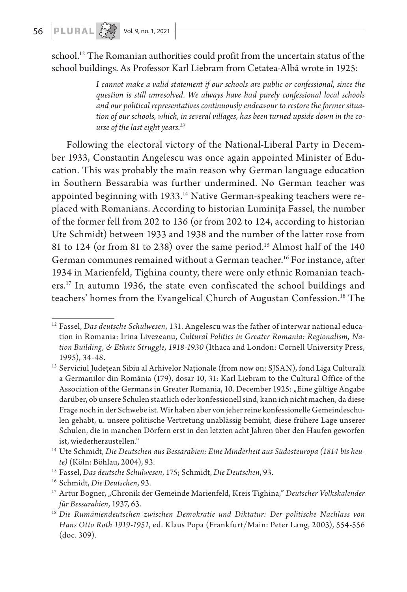school.<sup>12</sup> The Romanian authorities could profit from the uncertain status of the school buildings. As Professor Karl Liebram from Cetatea-Albă wrote in 1925:

> *I cannot make a valid statement if our schools are public or confessional, since the question is still unresolved. We always have had purely confessional local schools and our political representatives continuously endeavour to restore the former situation of our schools, which, in several villages, has been turned upside down in the course of the last eight years.13*

Following the electoral victory of the National-Liberal Party in December 1933, Constantin Angelescu was once again appointed Minister of Education. This was probably the main reason why German language education in Southern Bessarabia was further undermined. No German teacher was appointed beginning with 1933.<sup>14</sup> Native German-speaking teachers were replaced with Romanians. According to historian Luminița Fassel, the number of the former fell from 202 to 136 (or from 202 to 124, according to historian Ute Schmidt) between 1933 and 1938 and the number of the latter rose from 81 to 124 (or from 81 to 238) over the same period.<sup>15</sup> Almost half of the 140 German communes remained without a German teacher.16 For instance, after 1934 in Marienfeld, Tighina county, there were only ethnic Romanian teachers.17 In autumn 1936, the state even confiscated the school buildings and teachers' homes from the Evangelical Church of Augustan Confession.18 The

<sup>12</sup> Fassel, *Das deutsche Schulwesen*, 131. Angelescu was the father of interwar national education in Romania: Irina Livezeanu, *Cultural Politics in Greater Romania: Regionalism, Nation Building, & Ethnic Struggle, 1918-1930* (Ithaca and London: Cornell University Press, 1995), 34-48.

<sup>&</sup>lt;sup>13</sup> Serviciul Județean Sibiu al Arhivelor Naționale (from now on: SJSAN), fond Liga Culturală a Germanilor din România (179), dosar 10, 31: Karl Liebram to the Cultural Office of the Association of the Germans in Greater Romania, 10. December 1925: "Eine gültige Angabe darüber, ob unsere Schulen staatlich oder konfessionell sind, kann ich nicht machen, da diese Frage noch in der Schwebe ist. Wir haben aber von jeher reine konfessionelle Gemeindeschulen gehabt, u. unsere politische Vertretung unablässig bemüht, diese frühere Lage unserer Schulen, die in manchen Dörfern erst in den letzten acht Jahren über den Haufen geworfen ist, wiederherzustellen."

<sup>14</sup> Ute Schmidt, *Die Deutschen aus Bessarabien: Eine Minderheit aus Südosteuropa (1814 bis heute)* (Köln: Böhlau, 2004), 93.

<sup>15</sup> Fassel, *Das deutsche Schulwesen*, 175; Schmidt, *Die Deutschen*, 93.

<sup>16</sup> Schmidt, *Die Deutschen*, 93.

<sup>&</sup>lt;sup>17</sup> Artur Bogner, "Chronik der Gemeinde Marienfeld, Kreis Tighina," *Deutscher Volkskalender für Bessarabien*, 1937, 63.

<sup>18</sup> *Die Rumäniendeutschen zwischen Demokratie und Diktatur: Der politische Nachlass von Hans Otto Roth 1919-1951*, ed. Klaus Popa (Frankfurt/Main: Peter Lang, 2003), 554-556 (doc. 309).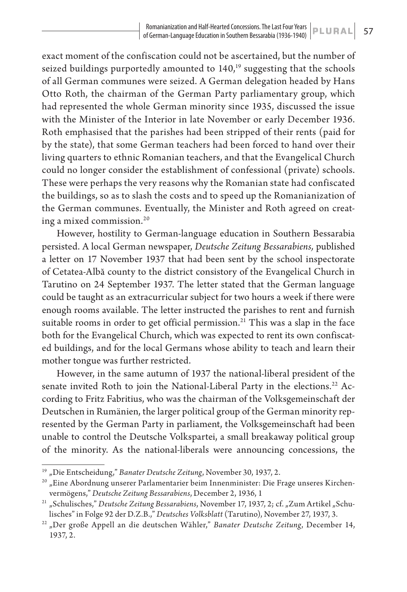exact moment of the confiscation could not be ascertained, but the number of seized buildings purportedly amounted to  $140<sup>19</sup>$  suggesting that the schools of all German communes were seized. A German delegation headed by Hans Otto Roth, the chairman of the German Party parliamentary group, which had represented the whole German minority since 1935, discussed the issue with the Minister of the Interior in late November or early December 1936. Roth emphasised that the parishes had been stripped of their rents (paid for by the state), that some German teachers had been forced to hand over their living quarters to ethnic Romanian teachers, and that the Evangelical Church could no longer consider the establishment of confessional (private) schools. These were perhaps the very reasons why the Romanian state had confiscated the buildings, so as to slash the costs and to speed up the Romanianization of the German communes. Eventually, the Minister and Roth agreed on creating a mixed commission.20

However, hostility to German-language education in Southern Bessarabia persisted. A local German newspaper, *Deutsche Zeitung Bessarabiens,* published a letter on 17 November 1937 that had been sent by the school inspectorate of Cetatea-Albă county to the district consistory of the Evangelical Church in Tarutino on 24 September 1937. The letter stated that the German language could be taught as an extracurricular subject for two hours a week if there were enough rooms available. The letter instructed the parishes to rent and furnish suitable rooms in order to get official permission.<sup>21</sup> This was a slap in the face both for the Evangelical Church, which was expected to rent its own confiscated buildings, and for the local Germans whose ability to teach and learn their mother tongue was further restricted.

However, in the same autumn of 1937 the national-liberal president of the senate invited Roth to join the National-Liberal Party in the elections.<sup>22</sup> According to Fritz Fabritius, who was the chairman of the Volksgemeinschaft der Deutschen in Rumänien, the larger political group of the German minority represented by the German Party in parliament, the Volksgemeinschaft had been unable to control the Deutsche Volkspartei, a small breakaway political group of the minority. As the national-liberals were announcing concessions, the

<sup>&</sup>lt;sup>19</sup> "Die Entscheidung," Banater Deutsche Zeitung, November 30, 1937, 2.

<sup>&</sup>lt;sup>20</sup> "Eine Abordnung unserer Parlamentarier beim Innenminister: Die Frage unseres Kirchenvermögens," *Deutsche Zeitung Bessarabiens*, December 2, 1936, 1

<sup>&</sup>lt;sup>21</sup> "Schulisches," Deutsche Zeitung Bessarabiens, November 17, 1937, 2; cf. "Zum Artikel "Schulisches" in Folge 92 der D.Z.B.," *Deutsches Volksblatt* (Tarutino), November 27, 1937, 3.

<sup>&</sup>lt;sup>22</sup> "Der große Appell an die deutschen Wähler," Banater Deutsche Zeitung, December 14, 1937, 2.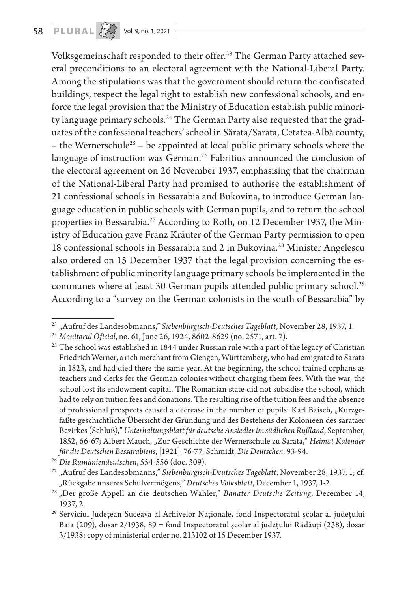Volksgemeinschaft responded to their offer.<sup>23</sup> The German Party attached several preconditions to an electoral agreement with the National-Liberal Party. Among the stipulations was that the government should return the confiscated buildings, respect the legal right to establish new confessional schools, and enforce the legal provision that the Ministry of Education establish public minority language primary schools.<sup>24</sup> The German Party also requested that the graduates of the confessional teachers' school in Sărata/Sarata, Cetatea-Albă county, – the Wernerschule<sup>25</sup> – be appointed at local public primary schools where the language of instruction was German.<sup>26</sup> Fabritius announced the conclusion of the electoral agreement on 26 November 1937, emphasising that the chairman of the National-Liberal Party had promised to authorise the establishment of 21 confessional schools in Bessarabia and Bukovina, to introduce German language education in public schools with German pupils, and to return the school properties in Bessarabia.<sup>27</sup> According to Roth, on 12 December 1937, the Ministry of Education gave Franz Kräuter of the German Party permission to open 18 confessional schools in Bessarabia and 2 in Bukovina.<sup>28</sup> Minister Angelescu also ordered on 15 December 1937 that the legal provision concerning the establishment of public minority language primary schools be implemented in the communes where at least 30 German pupils attended public primary school.<sup>29</sup> According to a "survey on the German colonists in the south of Bessarabia" by

<sup>23</sup> "Aufruf des Landesobmanns," *Siebenbürgisch-Deutsches Tageblatt*, November 28, 1937, 1.

<sup>24</sup> *Monitorul Oficial*, no. 61, June 26, 1924, 8602-8629 (no. 2571, art. 7).

 $25$  The school was established in 1844 under Russian rule with a part of the legacy of Christian Friedrich Werner, a rich merchant from Giengen, Württemberg, who had emigrated to Sarata in 1823, and had died there the same year. At the beginning, the school trained orphans as teachers and clerks for the German colonies without charging them fees. With the war, the school lost its endowment capital. The Romanian state did not subsidise the school, which had to rely on tuition fees and donations. The resulting rise of the tuition fees and the absence of professional prospects caused a decrease in the number of pupils: Karl Baisch, "Kurzgefaßte geschichtliche Übersicht der Gründung und des Bestehens der Kolonieen des sarataer Bezirkes (Schluß)," *Unterhaltungsblatt für deutsche Ansiedler im südlichen Rußland*, September, 1852, 66-67; Albert Mauch, "Zur Geschichte der Wernerschule zu Sarata," *Heimat Kalender für die Deutschen Bessarabiens*, [1921], 76-77; Schmidt, *Die Deutschen*, 93-94.

<sup>26</sup> *Die Rumäniendeutschen*, 554-556 (doc. 309).

<sup>27</sup> "Aufruf des Landesobmanns," *Siebenbürgisch-Deutsches Tageblatt*, November 28, 1937, 1; cf. "Rückgabe unseres Schulvermögens," *Deutsches Volksblatt*, December 1, 1937, 1-2.

<sup>28</sup> "Der große Appell an die deutschen Wähler," *Banater Deutsche Zeitung*, December 14, 1937, 2.

<sup>29</sup> Serviciul Județean Suceava al Arhivelor Naţionale, fond Inspectoratul școlar al județului Baia (209), dosar 2/1938, 89 = fond Inspectoratul școlar al județului Rădăuți (238), dosar 3/1938: copy of ministerial order no. 213102 of 15 December 1937.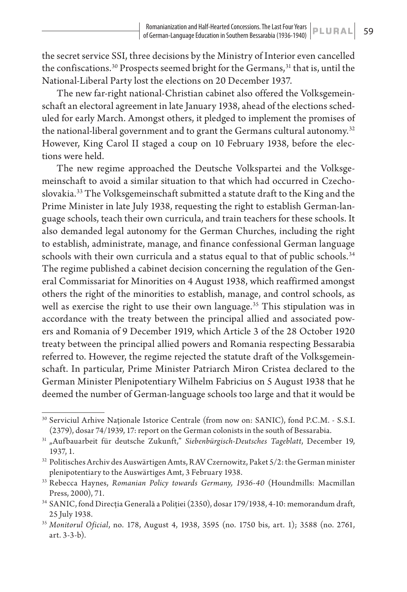the secret service SSI, three decisions by the Ministry of Interior even cancelled the confiscations.<sup>30</sup> Prospects seemed bright for the Germans,<sup>31</sup> that is, until the National-Liberal Party lost the elections on 20 December 1937.

The new far-right national-Christian cabinet also offered the Volksgemeinschaft an electoral agreement in late January 1938, ahead of the elections scheduled for early March. Amongst others, it pledged to implement the promises of the national-liberal government and to grant the Germans cultural autonomy.<sup>32</sup> However, King Carol II staged a coup on 10 February 1938, before the elections were held.

The new regime approached the Deutsche Volkspartei and the Volksgemeinschaft to avoid a similar situation to that which had occurred in Czechoslovakia.<sup>33</sup> The Volksgemeinschaft submitted a statute draft to the King and the Prime Minister in late July 1938, requesting the right to establish German-language schools, teach their own curricula, and train teachers for these schools. It also demanded legal autonomy for the German Churches, including the right to establish, administrate, manage, and finance confessional German language schools with their own curricula and a status equal to that of public schools.<sup>34</sup> The regime published a cabinet decision concerning the regulation of the General Commissariat for Minorities on 4 August 1938, which reaffirmed amongst others the right of the minorities to establish, manage, and control schools, as well as exercise the right to use their own language.<sup>35</sup> This stipulation was in accordance with the treaty between the principal allied and associated powers and Romania of 9 December 1919, which Article 3 of the 28 October 1920 treaty between the principal allied powers and Romania respecting Bessarabia referred to. However, the regime rejected the statute draft of the Volksgemeinschaft. In particular, Prime Minister Patriarch Miron Cristea declared to the German Minister Plenipotentiary Wilhelm Fabricius on 5 August 1938 that he deemed the number of German-language schools too large and that it would be

<sup>30</sup> Serviciul Arhive Naționale Istorice Centrale (from now on: SANIC), fond P.C.M. - S.S.I. (2379), dosar 74/1939, 17: report on the German colonists in the south of Bessarabia.

<sup>31</sup> "Auf bauarbeit für deutsche Zukunft," *Siebenbürgisch-Deutsches Tageblatt*, December 19, 1937, 1.

 $^{32}$  Politisches Archiv des Auswärtigen Amts, RAV Czernowitz, Paket  $5/2$ : the German minister plenipotentiary to the Auswärtiges Amt, 3 February 1938.

<sup>33</sup> Rebecca Haynes, *Romanian Policy towards Germany, 1936-40* (Houndmills: Macmillan Press, 2000), 71.

<sup>34</sup> SANIC, fond Direcția Generală a Poliției (2350), dosar 179/1938, 4-10: memorandum draft, 25 July 1938.

<sup>35</sup> *Monitorul Oficial*, no. 178, August 4, 1938, 3595 (no. 1750 bis, art. 1); 3588 (no. 2761, art. 3-3-b).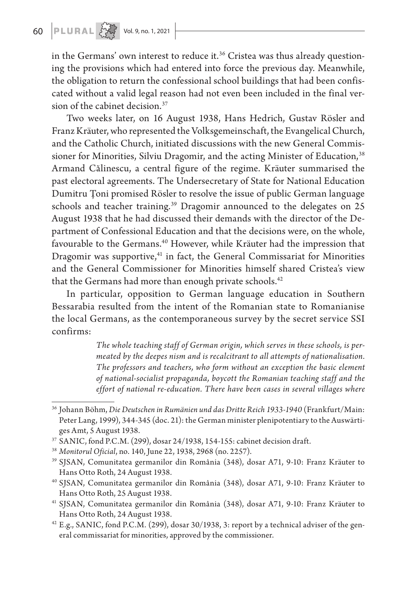in the Germans' own interest to reduce it.<sup>36</sup> Cristea was thus already questioning the provisions which had entered into force the previous day. Meanwhile, the obligation to return the confessional school buildings that had been confiscated without a valid legal reason had not even been included in the final version of the cabinet decision.<sup>37</sup>

Two weeks later, on 16 August 1938, Hans Hedrich, Gustav Rösler and Franz Kräuter, who represented the Volksgemeinschaft, the Evangelical Church, and the Catholic Church, initiated discussions with the new General Commissioner for Minorities, Silviu Dragomir, and the acting Minister of Education,<sup>38</sup> Armand Călinescu, a central figure of the regime. Kräuter summarised the past electoral agreements. The Undersecretary of State for National Education Dumitru Țoni promised Rösler to resolve the issue of public German language schools and teacher training.<sup>39</sup> Dragomir announced to the delegates on 25 August 1938 that he had discussed their demands with the director of the Department of Confessional Education and that the decisions were, on the whole, favourable to the Germans.<sup>40</sup> However, while Kräuter had the impression that Dragomir was supportive,<sup>41</sup> in fact, the General Commissariat for Minorities and the General Commissioner for Minorities himself shared Cristea's view that the Germans had more than enough private schools.<sup>42</sup>

In particular, opposition to German language education in Southern Bessarabia resulted from the intent of the Romanian state to Romanianise the local Germans, as the contemporaneous survey by the secret service SSI confirms:

> *The whole teaching staff of German origin, which serves in these schools, is permeated by the deepes nism and is recalcitrant to all attempts of nationalisation. The professors and teachers, who form without an exception the basic element of national-socialist propaganda, boycott the Romanian teaching staff and the effort of national re-education. There have been cases in several villages where*

<sup>36</sup> Johann Böhm, *Die Deutschen in Rumänien und das Dritte Reich 1933-1940* (Frankfurt/Main: Peter Lang, 1999), 344-345 (doc. 21): the German minister plenipotentiary to the Auswärtiges Amt, 5 August 1938.

<sup>37</sup> SANIC, fond P.C.M. (299), dosar 24/1938, 154-155: cabinet decision draft.

<sup>38</sup> *Monitorul Oficial*, no. 140, June 22, 1938, 2968 (no. 2257).

<sup>39</sup> SJSAN, Comunitatea germanilor din România (348), dosar A71, 9-10: Franz Kräuter to Hans Otto Roth, 24 August 1938.

<sup>40</sup> SJSAN, Comunitatea germanilor din România (348), dosar A71, 9-10: Franz Kräuter to Hans Otto Roth, 25 August 1938.

<sup>41</sup> SJSAN, Comunitatea germanilor din România (348), dosar A71, 9-10: Franz Kräuter to Hans Otto Roth, 24 August 1938.

 $42$  E.g., SANIC, fond P.C.M. (299), dosar 30/1938, 3: report by a technical adviser of the general commissariat for minorities, approved by the commissioner.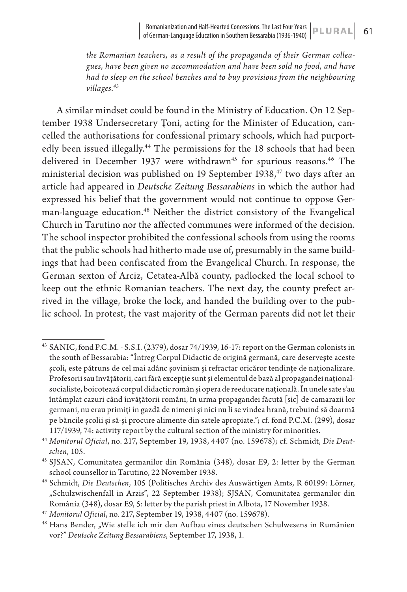*the Romanian teachers, as a result of the propaganda of their German colleagues, have been given no accommodation and have been sold no food, and have had to sleep on the school benches and to buy provisions from the neighbouring villages.43*

A similar mindset could be found in the Ministry of Education. On 12 September 1938 Undersecretary Țoni, acting for the Minister of Education, cancelled the authorisations for confessional primary schools, which had purportedly been issued illegally.<sup>44</sup> The permissions for the 18 schools that had been delivered in December 1937 were withdrawn<sup>45</sup> for spurious reasons.<sup>46</sup> The ministerial decision was published on 19 September 1938,<sup>47</sup> two days after an article had appeared in *Deutsche Zeitung Bessarabiens* in which the author had expressed his belief that the government would not continue to oppose German-language education.<sup>48</sup> Neither the district consistory of the Evangelical Church in Tarutino nor the affected communes were informed of the decision. The school inspector prohibited the confessional schools from using the rooms that the public schools had hitherto made use of, presumably in the same buildings that had been confiscated from the Evangelical Church. In response, the German sexton of Arciz, Cetatea-Albă county, padlocked the local school to keep out the ethnic Romanian teachers. The next day, the county prefect arrived in the village, broke the lock, and handed the building over to the public school. In protest, the vast majority of the German parents did not let their

<sup>43</sup> SANIC, fond P.C.M. - S.S.I. (2379), dosar 74/1939, 16-17: report on the German colonists in the south of Bessarabia: "Întreg Corpul Didactic de origină germană, care deservește aceste școli, este pătruns de cel mai adânc șovinism și refractar oricăror tendințe de naționalizare. Profesorii sau învățătorii, cari fără excepție sunt și elementul de bază al propagandei naționalsocialiste, boicotează corpul didactic român și opera de reeducare națională. În unele sate s'au întâmplat cazuri când învățătorii români, în urma propagandei făcută [sic] de camarazii lor germani, nu erau primiți în gazdă de nimeni și nici nu li se vindea hrană, trebuind să doarmă pe băncile școlii și să-și procure alimente din satele apropiate."; cf. fond P.C.M. (299), dosar 117/1939, 74: activity report by the cultural section of the ministry for minorities.

<sup>44</sup> *Monitorul Oficial*, no. 217, September 19, 1938, 4407 (no. 159678); cf. Schmidt, *Die Deutschen*, 105.

<sup>45</sup> SJSAN, Comunitatea germanilor din România (348), dosar E9, 2: letter by the German school counsellor in Tarutino, 22 November 1938.

<sup>46</sup> Schmidt, *Die Deutschen*, 105 (Politisches Archiv des Auswärtigen Amts, R 60199: Lörner, "Schulzwischenfall in Arzis", 22 September 1938); SJSAN, Comunitatea germanilor din România (348), dosar E9, 5: letter by the parish priest in Albota, 17 November 1938.

<sup>47</sup> *Monitorul Oficial*, no. 217, September 19, 1938, 4407 (no. 159678).

<sup>&</sup>lt;sup>48</sup> Hans Bender, "Wie stelle ich mir den Aufbau eines deutschen Schulwesens in Rumänien vor?" *Deutsche Zeitung Bessarabiens*, September 17, 1938, 1.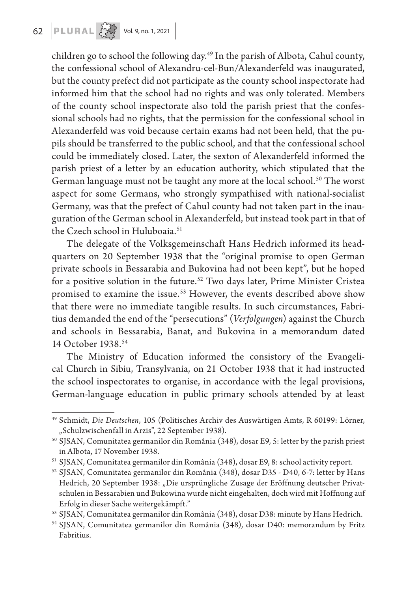children go to school the following day.<sup>49</sup> In the parish of Albota, Cahul county, the confessional school of Alexandru-cel-Bun/Alexanderfeld was inaugurated, but the county prefect did not participate as the county school inspectorate had informed him that the school had no rights and was only tolerated. Members of the county school inspectorate also told the parish priest that the confessional schools had no rights, that the permission for the confessional school in Alexanderfeld was void because certain exams had not been held, that the pupils should be transferred to the public school, and that the confessional school could be immediately closed. Later, the sexton of Alexanderfeld informed the parish priest of a letter by an education authority, which stipulated that the German language must not be taught any more at the local school.<sup>50</sup> The worst aspect for some Germans, who strongly sympathised with national-socialist Germany, was that the prefect of Cahul county had not taken part in the inauguration of the German school in Alexanderfeld, but instead took part in that of the Czech school in Huluboaia.<sup>51</sup>

The delegate of the Volksgemeinschaft Hans Hedrich informed its headquarters on 20 September 1938 that the "original promise to open German private schools in Bessarabia and Bukovina had not been kept", but he hoped for a positive solution in the future.<sup>52</sup> Two days later, Prime Minister Cristea promised to examine the issue.<sup>53</sup> However, the events described above show that there were no immediate tangible results. In such circumstances, Fabritius demanded the end of the "persecutions" (*Verfolgungen*) against the Church and schools in Bessarabia, Banat, and Bukovina in a memorandum dated 14 October 1938.54

The Ministry of Education informed the consistory of the Evangelical Church in Sibiu, Transylvania, on 21 October 1938 that it had instructed the school inspectorates to organise, in accordance with the legal provisions, German-language education in public primary schools attended by at least

<sup>49</sup> Schmidt, *Die Deutschen*, 105 (Politisches Archiv des Auswärtigen Amts, R 60199: Lörner, "Schulzwischenfall in Arzis", 22 September 1938).

<sup>50</sup> SJSAN, Comunitatea germanilor din România (348), dosar E9, 5: letter by the parish priest in Albota, 17 November 1938.

<sup>51</sup> SJSAN, Comunitatea germanilor din România (348), dosar E9, 8: school activity report.

<sup>52</sup> SJSAN, Comunitatea germanilor din România (348), dosar D35 - D40, 6-7: letter by Hans Hedrich, 20 September 1938: "Die ursprüngliche Zusage der Eröffnung deutscher Privatschulen in Bessarabien und Bukowina wurde nicht eingehalten, doch wird mit Hoffnung auf Erfolg in dieser Sache weitergekämpft."

<sup>53</sup> SJSAN, Comunitatea germanilor din România (348), dosar D38: minute by Hans Hedrich.

<sup>54</sup> SJSAN, Comunitatea germanilor din România (348), dosar D40: memorandum by Fritz Fabritius.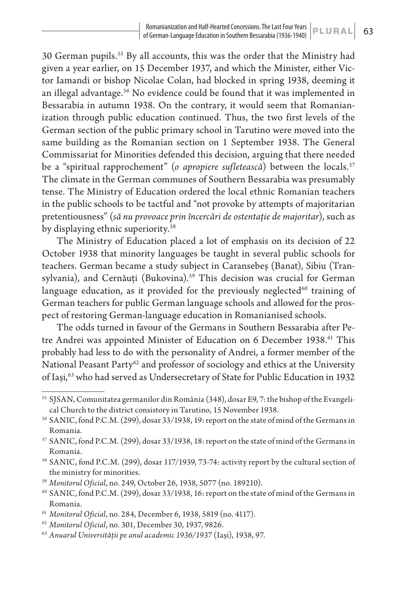30 German pupils.55 By all accounts, this was the order that the Ministry had given a year earlier, on 15 December 1937, and which the Minister, either Victor Iamandi or bishop Nicolae Colan, had blocked in spring 1938, deeming it an illegal advantage.<sup>56</sup> No evidence could be found that it was implemented in Bessarabia in autumn 1938. On the contrary, it would seem that Romanianization through public education continued. Thus, the two first levels of the German section of the public primary school in Tarutino were moved into the same building as the Romanian section on 1 September 1938. The General Commissariat for Minorities defended this decision, arguing that there needed be a "spiritual rapprochement" (*o apropiere sufletească*) between the locals.<sup>57</sup> The climate in the German communes of Southern Bessarabia was presumably tense. The Ministry of Education ordered the local ethnic Romanian teachers in the public schools to be tactful and "not provoke by attempts of majoritarian pretentiousness" (*să nu provoace prin încercări de ostentație de majoritar*), such as by displaying ethnic superiority.<sup>58</sup>

The Ministry of Education placed a lot of emphasis on its decision of 22 October 1938 that minority languages be taught in several public schools for teachers. German became a study subject in Caransebeș (Banat), Sibiu (Transylvania), and Cernăuți (Bukovina).<sup>59</sup> This decision was crucial for German language education, as it provided for the previously neglected $60$  training of German teachers for public German language schools and allowed for the prospect of restoring German-language education in Romanianised schools.

The odds turned in favour of the Germans in Southern Bessarabia after Petre Andrei was appointed Minister of Education on 6 December 1938.<sup>61</sup> This probably had less to do with the personality of Andrei, a former member of the National Peasant Party<sup>62</sup> and professor of sociology and ethics at the University of Iași,<sup>63</sup> who had served as Undersecretary of State for Public Education in 1932

<sup>55</sup> SJSAN, Comunitatea germanilor din România (348), dosar E9, 7: the bishop of the Evangelical Church to the district consistory in Tarutino, 15 November 1938.

<sup>56</sup> SANIC, fond P.C.M. (299), dosar 33/1938, 19: report on the state of mind of the Germans in Romania.

<sup>57</sup> SANIC, fond P.C.M. (299), dosar 33/1938, 18: report on the state of mind of the Germans in Romania.

<sup>58</sup> SANIC, fond P.C.M. (299), dosar 117/1939, 73-74: activity report by the cultural section of the ministry for minorities.

<sup>59</sup> *Monitorul Oficial*, no. 249, October 26, 1938, 5077 (no. 189210).

<sup>60</sup> SANIC, fond P.C.M. (299), dosar 33/1938, 16: report on the state of mind of the Germans in Romania.

<sup>61</sup> *Monitorul Oficial*, no. 284, December 6, 1938, 5819 (no. 4117).

<sup>62</sup> *Monitorul Oficial*, no. 301, December 30, 1937, 9826.

<sup>63</sup> *Anuarul Universității pe anul academic 1936/1937* (Iași), 1938, 97.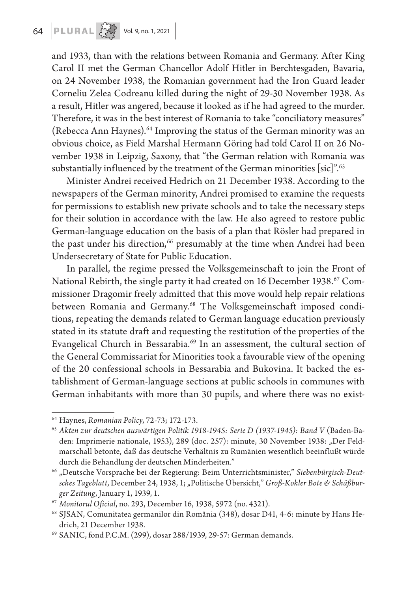and 1933, than with the relations between Romania and Germany. After King Carol II met the German Chancellor Adolf Hitler in Berchtesgaden, Bavaria, on 24 November 1938, the Romanian government had the Iron Guard leader Corneliu Zelea Codreanu killed during the night of 29-30 November 1938. As a result, Hitler was angered, because it looked as if he had agreed to the murder. Therefore, it was in the best interest of Romania to take "conciliatory measures" (Rebecca Ann Haynes).<sup>64</sup> Improving the status of the German minority was an obvious choice, as Field Marshal Hermann Göring had told Carol II on 26 November 1938 in Leipzig, Saxony, that "the German relation with Romania was substantially influenced by the treatment of the German minorities [sic]".<sup>65</sup>

Minister Andrei received Hedrich on 21 December 1938. According to the newspapers of the German minority, Andrei promised to examine the requests for permissions to establish new private schools and to take the necessary steps for their solution in accordance with the law. He also agreed to restore public German-language education on the basis of a plan that Rösler had prepared in the past under his direction,<sup>66</sup> presumably at the time when Andrei had been Undersecretary of State for Public Education.

In parallel, the regime pressed the Volksgemeinschaft to join the Front of National Rebirth, the single party it had created on 16 December 1938.<sup>67</sup> Commissioner Dragomir freely admitted that this move would help repair relations between Romania and Germany.<sup>68</sup> The Volksgemeinschaft imposed conditions, repeating the demands related to German language education previously stated in its statute draft and requesting the restitution of the properties of the Evangelical Church in Bessarabia.<sup>69</sup> In an assessment, the cultural section of the General Commissariat for Minorities took a favourable view of the opening of the 20 confessional schools in Bessarabia and Bukovina. It backed the establishment of German-language sections at public schools in communes with German inhabitants with more than 30 pupils, and where there was no exist-

<sup>64</sup> Haynes, *Romanian Policy*, 72-73; 172-173.

<sup>&</sup>lt;sup>65</sup> Akten zur deutschen auswärtigen Politik 1918-1945: Serie D (1937-1945): Band V (Baden-Baden: Imprimerie nationale, 1953), 289 (doc. 257): minute, 30 November 1938: "Der Feldmarschall betonte, daß das deutsche Verhältnis zu Rumänien wesentlich beeinflußt würde durch die Behandlung der deutschen Minderheiten."

<sup>66</sup> "Deutsche Vorsprache bei der Regierung: Beim Unterrichtsminister," *Siebenbürgisch-Deutsches Tageblatt*, December 24, 1938, 1; "Politische Übersicht," *Groß-Kokler Bote & Schäßburger Zeitung*, January 1, 1939, 1.

<sup>67</sup> *Monitorul Oficial*, no. 293, December 16, 1938, 5972 (no. 4321).

<sup>68</sup> SJSAN, Comunitatea germanilor din România (348), dosar D41, 4-6: minute by Hans Hedrich, 21 December 1938.

<sup>69</sup> SANIC, fond P.C.M. (299), dosar 288/1939, 29-57: German demands.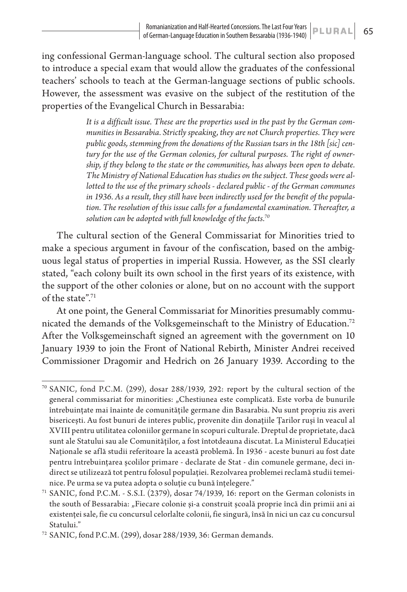ing confessional German-language school. The cultural section also proposed to introduce a special exam that would allow the graduates of the confessional teachers' schools to teach at the German-language sections of public schools. However, the assessment was evasive on the subject of the restitution of the properties of the Evangelical Church in Bessarabia:

> *It is a difficult issue. These are the properties used in the past by the German communities in Bessarabia. Strictly speaking, they are not Church properties. They were public goods, stemming from the donations of the Russian tsars in the 18th [sic] century for the use of the German colonies, for cultural purposes. The right of ownership, if they belong to the state or the communities, has always been open to debate. The Ministry of National Education has studies on the subject. These goods were allotted to the use of the primary schools - declared public - of the German communes in 1936. As a result, they still have been indirectly used for the benefit of the population. The resolution of this issue calls for a fundamental examination. Thereafter, a solution can be adopted with full knowledge of the facts.70*

The cultural section of the General Commissariat for Minorities tried to make a specious argument in favour of the confiscation, based on the ambiguous legal status of properties in imperial Russia. However, as the SSI clearly stated, "each colony built its own school in the first years of its existence, with the support of the other colonies or alone, but on no account with the support of the state".71

At one point, the General Commissariat for Minorities presumably communicated the demands of the Volksgemeinschaft to the Ministry of Education.<sup>72</sup> After the Volksgemeinschaft signed an agreement with the government on 10 January 1939 to join the Front of National Rebirth, Minister Andrei received Commissioner Dragomir and Hedrich on 26 January 1939. According to the

<sup>70</sup> SANIC, fond P.C.M. (299), dosar 288/1939, 292: report by the cultural section of the general commissariat for minorities: "Chestiunea este complicată. Este vorba de bunurile întrebuințate mai înainte de comunitățile germane din Basarabia. Nu sunt propriu zis averi bisericești. Au fost bunuri de interes public, provenite din donațiile Țarilor ruși în veacul al XVIII pentru utilitatea coloniilor germane în scopuri culturale. Dreptul de proprietate, dacă sunt ale Statului sau ale Comunităților, a fost întotdeauna discutat. La Ministerul Educației Naționale se află studii referitoare la această problemă. În 1936 - aceste bunuri au fost date pentru întrebuințarea școlilor primare - declarate de Stat - din comunele germane, deci indirect se utilizează tot pentru folosul populației. Rezolvarea problemei reclamă studii temeinice. Pe urma se va putea adopta o soluție cu bună înțelegere."

<sup>71</sup> SANIC, fond P.C.M. - S.S.I. (2379), dosar 74/1939, 16: report on the German colonists in the south of Bessarabia: "Fiecare colonie și-a construit școală proprie încă din primii ani ai existenței sale, fie cu concursul celorlalte colonii, fie singură, însă în nici un caz cu concursul Statului."

<sup>72</sup> SANIC, fond P.C.M. (299), dosar 288/1939, 36: German demands.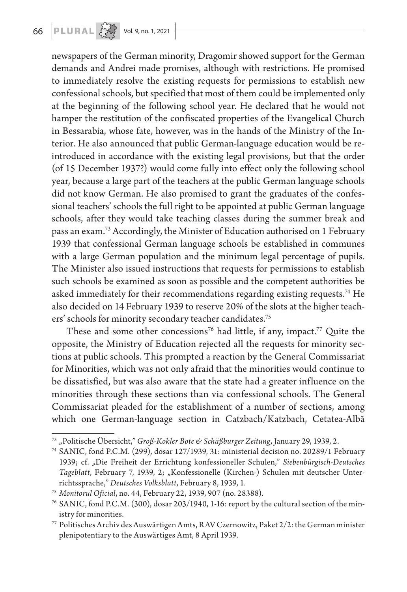# 66 **PLURAL**  $\left\{\begin{matrix} 1 & 0 \\ 0 & \cdots \end{matrix}\right\}$  Vol. 9, no. 1, 2021

newspapers of the German minority, Dragomir showed support for the German demands and Andrei made promises, although with restrictions. He promised to immediately resolve the existing requests for permissions to establish new confessional schools, but specified that most of them could be implemented only at the beginning of the following school year. He declared that he would not hamper the restitution of the confiscated properties of the Evangelical Church in Bessarabia, whose fate, however, was in the hands of the Ministry of the Interior. He also announced that public German-language education would be reintroduced in accordance with the existing legal provisions, but that the order (of 15 December 1937?) would come fully into effect only the following school year, because a large part of the teachers at the public German language schools did not know German. He also promised to grant the graduates of the confessional teachers' schools the full right to be appointed at public German language schools, after they would take teaching classes during the summer break and pass an exam.73 Accordingly, the Minister of Education authorised on 1 February 1939 that confessional German language schools be established in communes with a large German population and the minimum legal percentage of pupils. The Minister also issued instructions that requests for permissions to establish such schools be examined as soon as possible and the competent authorities be asked immediately for their recommendations regarding existing requests.74 He also decided on 14 February 1939 to reserve 20% of the slots at the higher teachers' schools for minority secondary teacher candidates.75

These and some other concessions<sup>76</sup> had little, if any, impact.<sup>77</sup> Quite the opposite, the Ministry of Education rejected all the requests for minority sections at public schools. This prompted a reaction by the General Commissariat for Minorities, which was not only afraid that the minorities would continue to be dissatisfied, but was also aware that the state had a greater influence on the minorities through these sections than via confessional schools. The General Commissariat pleaded for the establishment of a number of sections, among which one German-language section in Catzbach/Katzbach, Cetatea-Albă

<sup>73</sup> "Politische Übersicht," *Groß-Kokler Bote & Schäßburger Zeitung*, January 29, 1939, 2.

<sup>74</sup> SANIC, fond P.C.M. (299), dosar 127/1939, 31: ministerial decision no. 20289/1 February 1939; cf. "Die Freiheit der Errichtung konfessioneller Schulen," *Siebenbürgisch-Deutsches*  Tageblatt, February 7, 1939, 2; "Konfessionelle (Kirchen-) Schulen mit deutscher Unterrichtssprache," *Deutsches Volksblatt*, February 8, 1939, 1.

<sup>75</sup> *Monitorul Oficial*, no. 44, February 22, 1939, 907 (no. 28388).

<sup>76</sup> SANIC, fond P.C.M. (300), dosar 203/1940, 1-16: report by the cultural section of the ministry for minorities.

<sup>77</sup> Politisches Archiv des Auswärtigen Amts, R AV Czernowitz, Paket 2/2: the German minister plenipotentiary to the Auswärtiges Amt, 8 April 1939.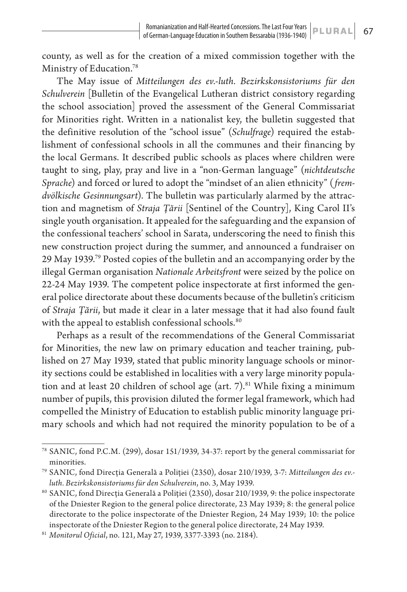county, as well as for the creation of a mixed commission together with the Ministry of Education.78

The May issue of *Mitteilungen des ev.-luth. Bezirkskonsistoriums für den Schulverein* [Bulletin of the Evangelical Lutheran district consistory regarding the school association] proved the assessment of the General Commissariat for Minorities right. Written in a nationalist key, the bulletin suggested that the definitive resolution of the "school issue" (*Schulfrage*) required the establishment of confessional schools in all the communes and their financing by the local Germans. It described public schools as places where children were taught to sing, play, pray and live in a "non-German language" (*nichtdeutsche Sprache*) and forced or lured to adopt the "mindset of an alien ethnicity" (*fremdvölkische Gesinnungsart*). The bulletin was particularly alarmed by the attraction and magnetism of *Straja Țării* [Sentinel of the Country], King Carol II's single youth organisation. It appealed for the safeguarding and the expansion of the confessional teachers' school in Sarata, underscoring the need to finish this new construction project during the summer, and announced a fundraiser on 29 May 1939.79 Posted copies of the bulletin and an accompanying order by the illegal German organisation *Nationale Arbeitsfront* were seized by the police on 22-24 May 1939. The competent police inspectorate at first informed the general police directorate about these documents because of the bulletin's criticism of *Straja Țării*, but made it clear in a later message that it had also found fault with the appeal to establish confessional schools.<sup>80</sup>

Perhaps as a result of the recommendations of the General Commissariat for Minorities, the new law on primary education and teacher training, published on 27 May 1939, stated that public minority language schools or minority sections could be established in localities with a very large minority population and at least 20 children of school age (art.  $7$ ).<sup>81</sup> While fixing a minimum number of pupils, this provision diluted the former legal framework, which had compelled the Ministry of Education to establish public minority language primary schools and which had not required the minority population to be of a

<sup>78</sup> SANIC, fond P.C.M. (299), dosar 151/1939, 34-37: report by the general commissariat for minorities.

<sup>79</sup> SANIC, fond Direcția Generală a Poliției (2350), dosar 210/1939, 3-7: *Mitteilungen des ev. luth. Bezirkskonsistoriums für den Schulverein*, no. 3, May 1939.

<sup>80</sup> SANIC, fond Direcția Generală a Poliției (2350), dosar 210/1939, 9: the police inspectorate of the Dniester Region to the general police directorate, 23 May 1939; 8: the general police directorate to the police inspectorate of the Dniester Region, 24 May 1939; 10: the police inspectorate of the Dniester Region to the general police directorate, 24 May 1939.

<sup>81</sup> *Monitorul Oficial*, no. 121, May 27, 1939, 3377-3393 (no. 2184).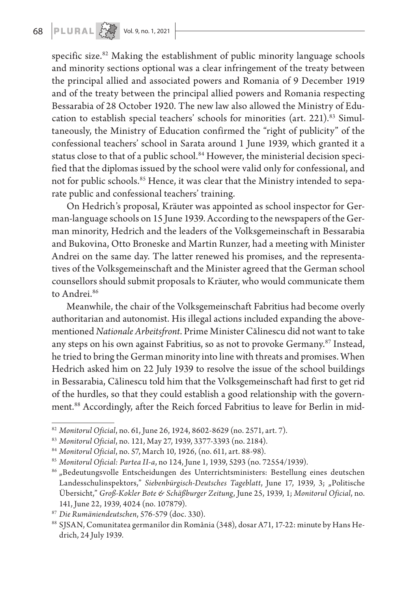specific size.<sup>82</sup> Making the establishment of public minority language schools and minority sections optional was a clear infringement of the treaty between the principal allied and associated powers and Romania of 9 December 1919 and of the treaty between the principal allied powers and Romania respecting Bessarabia of 28 October 1920. The new law also allowed the Ministry of Education to establish special teachers' schools for minorities (art. 221).<sup>83</sup> Simultaneously, the Ministry of Education confirmed the "right of publicity" of the confessional teachers' school in Sarata around 1 June 1939, which granted it a status close to that of a public school.<sup>84</sup> However, the ministerial decision specified that the diplomas issued by the school were valid only for confessional, and not for public schools.<sup>85</sup> Hence, it was clear that the Ministry intended to separate public and confessional teachers' training.

On Hedrich's proposal, Kräuter was appointed as school inspector for German-language schools on 15 June 1939. According to the newspapers of the German minority, Hedrich and the leaders of the Volksgemeinschaft in Bessarabia and Bukovina, Otto Broneske and Martin Runzer, had a meeting with Minister Andrei on the same day. The latter renewed his promises, and the representatives of the Volksgemeinschaft and the Minister agreed that the German school counsellors should submit proposals to Kräuter, who would communicate them to Andrei.<sup>86</sup>

Meanwhile, the chair of the Volksgemeinschaft Fabritius had become overly authoritarian and autonomist. His illegal actions included expanding the abovementioned *Nationale Arbeitsfront*. Prime Minister Călinescu did not want to take any steps on his own against Fabritius, so as not to provoke Germany.<sup>87</sup> Instead, he tried to bring the German minority into line with threats and promises. When Hedrich asked him on 22 July 1939 to resolve the issue of the school buildings in Bessarabia, Călinescu told him that the Volksgemeinschaft had first to get rid of the hurdles, so that they could establish a good relationship with the government.88 Accordingly, after the Reich forced Fabritius to leave for Berlin in mid-

<sup>82</sup> *Monitorul Oficial*, no. 61, June 26, 1924, 8602-8629 (no. 2571, art. 7).

<sup>83</sup> *Monitorul Oficial*, no. 121, May 27, 1939, 3377-3393 (no. 2184).

<sup>84</sup> *Monitorul Oficial*, no. 57, March 10, 1926, (no. 611, art. 88-98).

<sup>85</sup> *Monitorul Oficial: Partea II-a*, no 124, June 1, 1939, 5293 (no. 72554/1939).

<sup>&</sup>lt;sup>86</sup> "Bedeutungsvolle Entscheidungen des Unterrichtsministers: Bestellung eines deutschen Landesschulinspektors," *Siebenbürgisch-Deutsches Tageblatt*, June 17, 1939, 3; "Politische Übersicht," *Groß-Kokler Bote & Schäßburger Zeitung*, June 25, 1939, 1; *Monitorul Oficial*, no. 141, June 22, 1939, 4024 (no. 107879).

<sup>87</sup> *Die Rumäniendeutschen*, 576-579 (doc. 330).

<sup>88</sup> SJSAN, Comunitatea germanilor din România (348), dosar A71, 17-22: minute by Hans Hedrich, 24 July 1939.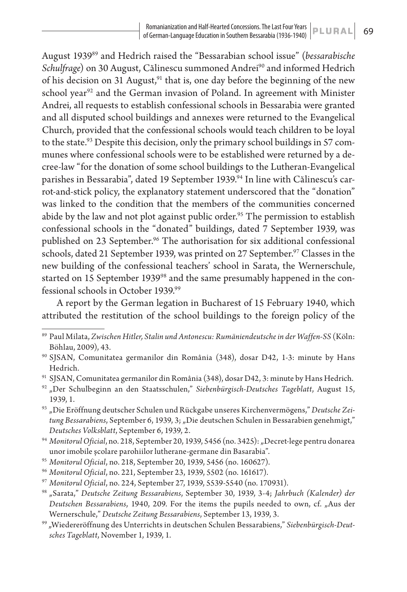August 193989 and Hedrich raised the "Bessarabian school issue" (*bessarabische Schulfrage*) on 30 August, Călinescu summoned Andrei<sup>90</sup> and informed Hedrich of his decision on 31 August, $91$  that is, one day before the beginning of the new school year<sup>92</sup> and the German invasion of Poland. In agreement with Minister Andrei, all requests to establish confessional schools in Bessarabia were granted and all disputed school buildings and annexes were returned to the Evangelical Church, provided that the confessional schools would teach children to be loyal to the state.<sup>93</sup> Despite this decision, only the primary school buildings in 57 communes where confessional schools were to be established were returned by a decree-law "for the donation of some school buildings to the Lutheran-Evangelical parishes in Bessarabia", dated 19 September 1939.94 In line with Călinescu's carrot-and-stick policy, the explanatory statement underscored that the "donation" was linked to the condition that the members of the communities concerned abide by the law and not plot against public order.<sup>95</sup> The permission to establish confessional schools in the "donated" buildings, dated 7 September 1939, was published on 23 September.<sup>96</sup> The authorisation for six additional confessional schools, dated 21 September 1939, was printed on 27 September.<sup>97</sup> Classes in the new building of the confessional teachers' school in Sarata, the Wernerschule, started on 15 September 1939<sup>98</sup> and the same presumably happened in the confessional schools in October 1939.99

A report by the German legation in Bucharest of 15 February 1940, which attributed the restitution of the school buildings to the foreign policy of the

- <sup>91</sup> SJSAN, Comunitatea germanilor din România (348), dosar D42, 3: minute by Hans Hedrich.
- <sup>92</sup> "Der Schulbeginn an den Staatsschulen," *Siebenbürgisch-Deutsches Tageblatt*, August 15, 1939, 1.
- <sup>93</sup> "Die Eröffnung deutscher Schulen und Rückgabe unseres Kirchenvermögens," *Deutsche Zei*tung Bessarabiens, September 6, 1939, 3; "Die deutschen Schulen in Bessarabien genehmigt," *Deutsches Volksblatt*, September 6, 1939, 2.
- <sup>94</sup> Monitorul Oficial, no. 218, September 20, 1939, 5456 (no. 3425): "Decret-lege pentru donarea unor imobile școlare parohiilor lutherane-germane din Basarabia".
- <sup>95</sup> *Monitorul Oficial*, no. 218, September 20, 1939, 5456 (no. 160627).
- <sup>96</sup> *Monitorul Oficial*, no. 221, September 23, 1939, 5502 (no. 161617).

<sup>89</sup> Paul Milata, *Zwischen Hitler, Stalin und Antonescu: Rumäniendeutsche in der Waffen-SS* (Köln: Böhlau, 2009), 43.

<sup>90</sup> SJSAN, Comunitatea germanilor din România (348), dosar D42, 1-3: minute by Hans Hedrich.

<sup>97</sup> *Monitorul Oficial*, no. 224, September 27, 1939, 5539-5540 (no. 170931).

<sup>98</sup> "Sarata," *Deutsche Zeitung Bessarabiens*, September 30, 1939, 3-4; *Jahrbuch (Kalender) der Deutschen Bessarabiens*, 1940, 209. For the items the pupils needed to own, cf. "Aus der Wernerschule," *Deutsche Zeitung Bessarabiens*, September 13, 1939, 3.

<sup>99 &</sup>quot;Wiedereröffnung des Unterrichts in deutschen Schulen Bessarabiens," *Siebenbürgisch-Deutsches Tageblatt*, November 1, 1939, 1.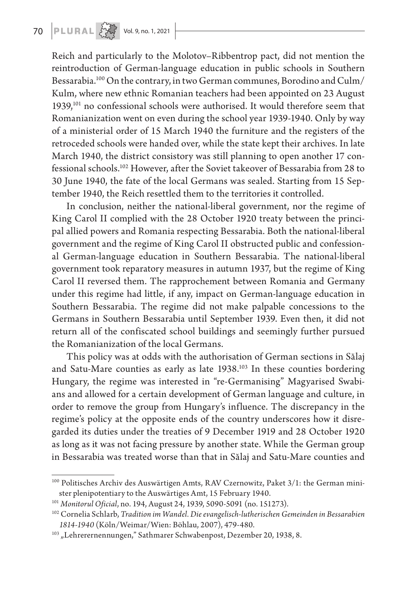Reich and particularly to the Molotov–Ribbentrop pact, did not mention the reintroduction of German-language education in public schools in Southern Bessarabia.100 On the contrary, in two German communes, Borodino and Culm/ Kulm, where new ethnic Romanian teachers had been appointed on 23 August 1939,101 no confessional schools were authorised. It would therefore seem that Romanianization went on even during the school year 1939-1940. Only by way of a ministerial order of 15 March 1940 the furniture and the registers of the retroceded schools were handed over, while the state kept their archives. In late March 1940, the district consistory was still planning to open another 17 confessional schools.102 However, after the Soviet takeover of Bessarabia from 28 to 30 June 1940, the fate of the local Germans was sealed. Starting from 15 September 1940, the Reich resettled them to the territories it controlled.

In conclusion, neither the national-liberal government, nor the regime of King Carol II complied with the 28 October 1920 treaty between the principal allied powers and Romania respecting Bessarabia. Both the national-liberal government and the regime of King Carol II obstructed public and confessional German-language education in Southern Bessarabia. The national-liberal government took reparatory measures in autumn 1937, but the regime of King Carol II reversed them. The rapprochement between Romania and Germany under this regime had little, if any, impact on German-language education in Southern Bessarabia. The regime did not make palpable concessions to the Germans in Southern Bessarabia until September 1939. Even then, it did not return all of the confiscated school buildings and seemingly further pursued the Romanianization of the local Germans.

This policy was at odds with the authorisation of German sections in Sălaj and Satu-Mare counties as early as late 1938.<sup>103</sup> In these counties bordering Hungary, the regime was interested in "re-Germanising" Magyarised Swabians and allowed for a certain development of German language and culture, in order to remove the group from Hungary's influence. The discrepancy in the regime's policy at the opposite ends of the country underscores how it disregarded its duties under the treaties of 9 December 1919 and 28 October 1920 as long as it was not facing pressure by another state. While the German group in Bessarabia was treated worse than that in Sălaj and Satu-Mare counties and

<sup>&</sup>lt;sup>100</sup> Politisches Archiv des Auswärtigen Amts, RAV Czernowitz, Paket 3/1: the German minister plenipotentiary to the Auswärtiges Amt, 15 February 1940.

<sup>101</sup> *Monitorul Oficial*, no. 194, August 24, 1939, 5090-5091 (no. 151273).

<sup>102</sup> Cornelia Schlarb, *Tradition im Wandel. Die evangelisch-lutherischen Gemeinden in Bessarabien 1814-1940* (Köln/Weimar/Wien: Böhlau, 2007), 479-480.

<sup>&</sup>lt;sup>103</sup> "Lehrerernennungen," Sathmarer Schwabenpost, Dezember 20, 1938, 8.